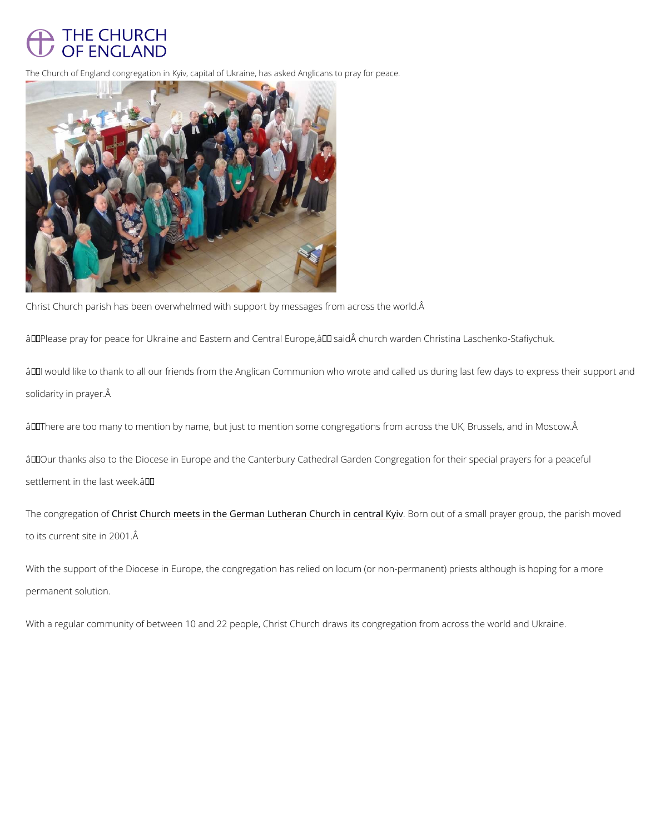## THE CHURCH OF ENGLAND

The Church of England congregation in Kyiv, capital of Ukraine, has asked Anglicans to pray for peace.

Christ Church parish has been overwhelmed with support by messages from across the world.

"Please pray for peace for Ukraine and Eastern and Central Europe,― said church ward

 $\hat{a} \in \infty$  I would like to thank to all our friends from the Anglican Communion who wrote and calle solidarity in prayer.

 $\hat{a} \in \infty$  There are too many to mention by name, but just to mention some congregations from act

 $\hat{a} \in \infty$  Our thanks also to the Diocese in Europe and the Canterbury Cathedral Garden Congrega settlement in the last week. a €.

The congrega Chimist Church meets in the German Lutheran Chounch uitn oof eants an la Klypiv ay er group, the to its current site in 2001.

With the support of the Diocese in Europe, the congregation has relied on locum (or non-peri permanent solution.

With a regular community of between 10 and 22 people, Christ Church draws its congregation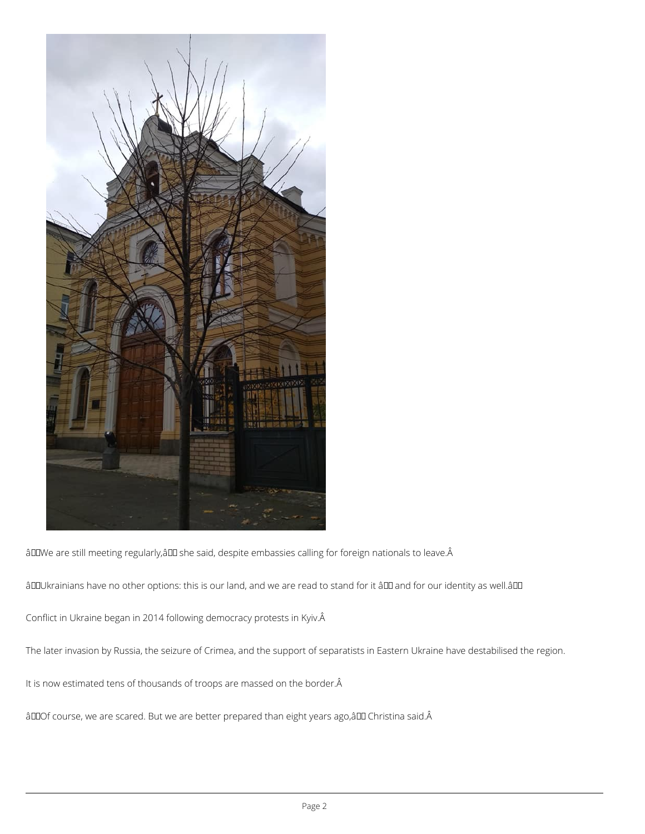

âDOWe are still meeting regularly, âDD she said, despite embassies calling for foreign nationals to leave. Â

âDDUkrainians have no other options: this is our land, and we are read to stand for it âDD and for our identity as well.âDD

Conflict in Ukraine began in 2014 following democracy protests in Kyiv.

The later invasion by Russia, the seizure of Crimea, and the support of separatists in Eastern Ukraine have destabilised the region.

It is now estimated tens of thousands of troops are massed on the border. Â

âDDOf course, we are scared. But we are better prepared than eight years ago, âDD Christina said. Â